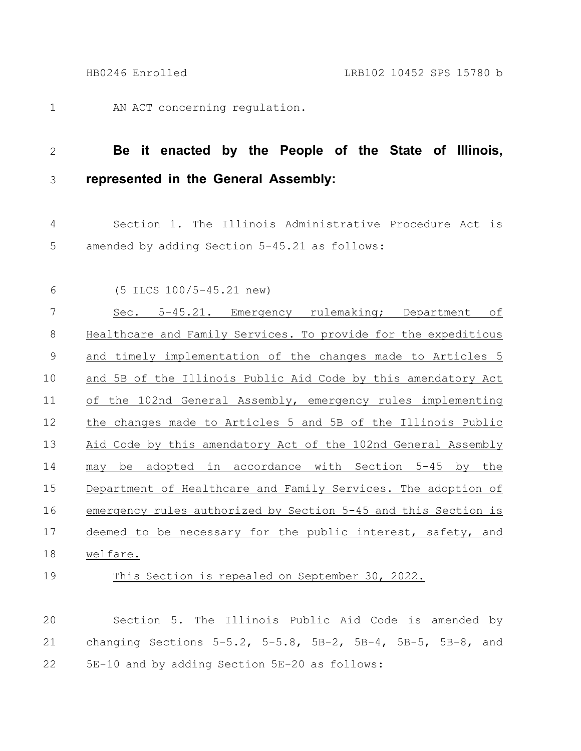AN ACT concerning regulation. 1

## **Be it enacted by the People of the State of Illinois, represented in the General Assembly:** 2 3

Section 1. The Illinois Administrative Procedure Act is amended by adding Section 5-45.21 as follows: 4 5

6

(5 ILCS 100/5-45.21 new)

Sec. 5-45.21. Emergency rulemaking; Department of Healthcare and Family Services. To provide for the expeditious and timely implementation of the changes made to Articles 5 and 5B of the Illinois Public Aid Code by this amendatory Act of the 102nd General Assembly, emergency rules implementing the changes made to Articles 5 and 5B of the Illinois Public Aid Code by this amendatory Act of the 102nd General Assembly may be adopted in accordance with Section 5-45 by the Department of Healthcare and Family Services. The adoption of emergency rules authorized by Section 5-45 and this Section is deemed to be necessary for the public interest, safety, and welfare. 7 8 9 10 11 12 13 14 15 16 17 18

19

This Section is repealed on September 30, 2022.

Section 5. The Illinois Public Aid Code is amended by changing Sections 5-5.2, 5-5.8, 5B-2, 5B-4, 5B-5, 5B-8, and 5E-10 and by adding Section 5E-20 as follows: 20 21 22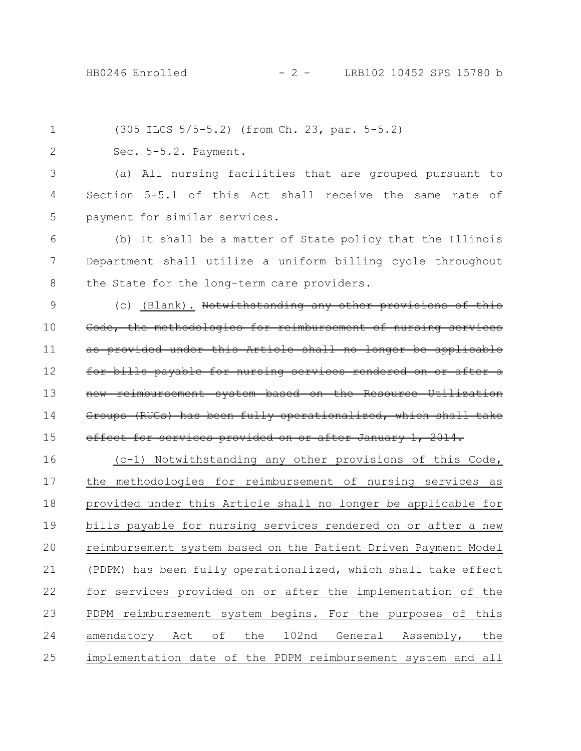(305 ILCS 5/5-5.2) (from Ch. 23, par. 5-5.2) Sec. 5-5.2. Payment. (a) All nursing facilities that are grouped pursuant to Section 5-5.1 of this Act shall receive the same rate of payment for similar services. (b) It shall be a matter of State policy that the Illinois Department shall utilize a uniform billing cycle throughout the State for the long-term care providers. (c) (Blank). Notwithstanding any other provisions of this Code, the methodologies for reimbursement of nursing provided under this Article shall no longer be applicable bills payable for nursing services rendered on or new reimbursement system based on the Resource Utilization Groups (RUGs) has been fully operationalized, which shall take effect for services provided on or after January 1, 2014. (c-1) Notwithstanding any other provisions of this Code, the methodologies for reimbursement of nursing services as provided under this Article shall no longer be applicable for bills payable for nursing services rendered on or after a new reimbursement system based on the Patient Driven Payment Model (PDPM) has been fully operationalized, which shall take effect for services provided on or after the implementation of the PDPM reimbursement system begins. For the purposes of this amendatory Act of the 102nd General Assembly, the implementation date of the PDPM reimbursement system and all 1 2 3 4 5 6 7 8 9 10 11 12 13 14 15 16 17 18 19 20 21 22 23 24 25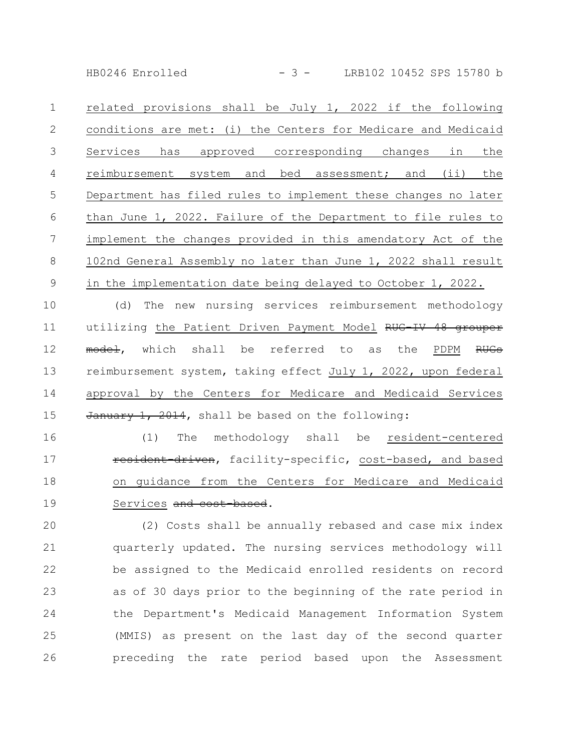HB0246 Enrolled - 3 - LRB102 10452 SPS 15780 b

related provisions shall be July 1, 2022 if the following conditions are met: (i) the Centers for Medicare and Medicaid Services has approved corresponding changes in the reimbursement system and bed assessment; and (ii) the Department has filed rules to implement these changes no later than June 1, 2022. Failure of the Department to file rules to implement the changes provided in this amendatory Act of the 102nd General Assembly no later than June 1, 2022 shall result in the implementation date being delayed to October 1, 2022. 1 2 3 4 5 6 7 8 9

(d) The new nursing services reimbursement methodology utilizing the Patient Driven Payment Model RUG-IV 48 grouper model, which shall be referred to as the PDPM RUGs reimbursement system, taking effect July 1, 2022, upon federal approval by the Centers for Medicare and Medicaid Services January 1, 2014, shall be based on the following: 10 11 12 13 14 15

(1) The methodology shall be resident-centered resident driven, facility-specific, cost-based, and based on guidance from the Centers for Medicare and Medicaid Services and cost based. 16 17 18 19

(2) Costs shall be annually rebased and case mix index quarterly updated. The nursing services methodology will be assigned to the Medicaid enrolled residents on record as of 30 days prior to the beginning of the rate period in the Department's Medicaid Management Information System (MMIS) as present on the last day of the second quarter preceding the rate period based upon the Assessment 20 21 22 23 24 25 26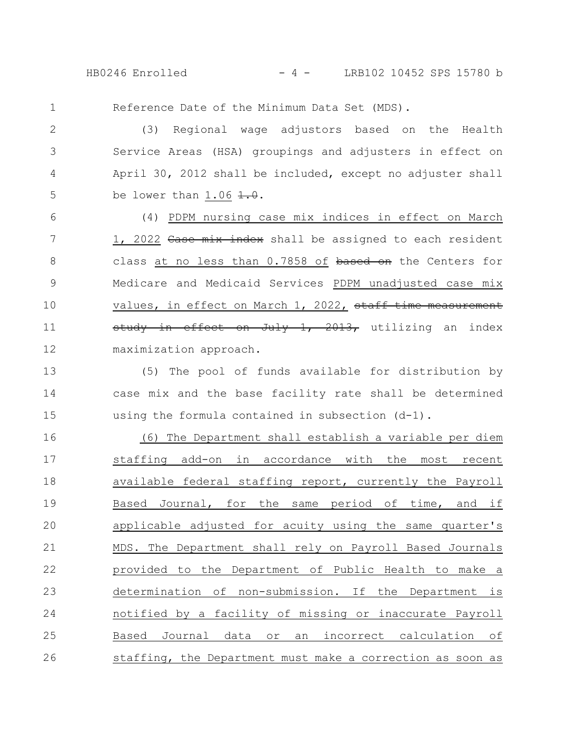HB0246 Enrolled - 4 - LRB102 10452 SPS 15780 b

1

Reference Date of the Minimum Data Set (MDS).

(3) Regional wage adjustors based on the Health Service Areas (HSA) groupings and adjusters in effect on April 30, 2012 shall be included, except no adjuster shall be lower than  $1.06 \pm 0.$ 2 3 4 5

(4) PDPM nursing case mix indices in effect on March 1, 2022 Case mix index shall be assigned to each resident class at no less than 0.7858 of based on the Centers for Medicare and Medicaid Services PDPM unadjusted case mix values, in effect on March 1, 2022, staff time measurement study in effect on July  $1, 2013$ , utilizing an index maximization approach. 6 7 8 9 10 11 12

(5) The pool of funds available for distribution by case mix and the base facility rate shall be determined using the formula contained in subsection (d-1). 13 14 15

(6) The Department shall establish a variable per diem staffing add-on in accordance with the most recent available federal staffing report, currently the Payroll Based Journal, for the same period of time, and if applicable adjusted for acuity using the same quarter's MDS. The Department shall rely on Payroll Based Journals provided to the Department of Public Health to make a determination of non-submission. If the Department is notified by a facility of missing or inaccurate Payroll Based Journal data or an incorrect calculation of staffing, the Department must make a correction as soon as 16 17 18 19 20 21 22 23 24 25 26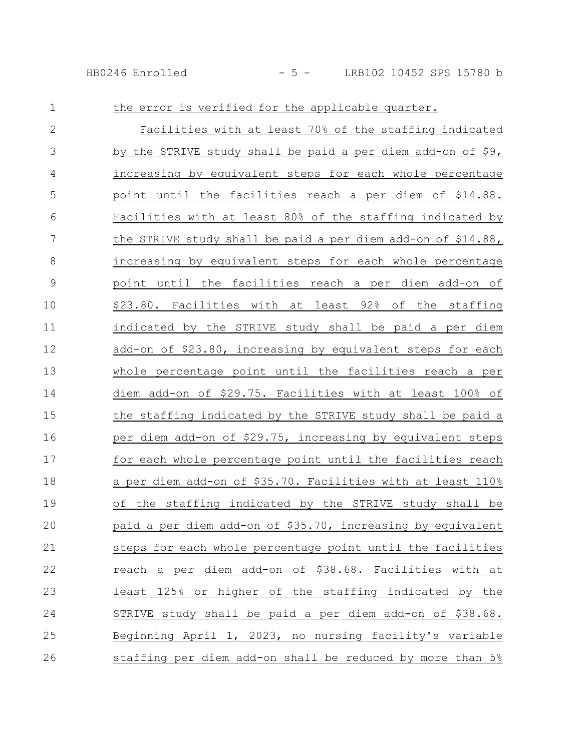## HB0246 Enrolled - 5 - LRB102 10452 SPS 15780 b

| $\mathbf 1$   | the error is verified for the applicable quarter.            |
|---------------|--------------------------------------------------------------|
| $\mathbf{2}$  | Facilities with at least 70% of the staffing indicated       |
| 3             | by the STRIVE study shall be paid a per diem add-on of \$9,  |
| 4             | increasing by equivalent steps for each whole percentage     |
| 5             | point until the facilities reach a per diem of \$14.88.      |
| 6             | Facilities with at least 80% of the staffing indicated by    |
| 7             | the STRIVE study shall be paid a per diem add-on of \$14.88, |
| $8\,$         | increasing by equivalent steps for each whole percentage     |
| $\mathcal{G}$ | point until the facilities reach a per diem add-on of        |
| 10            | \$23.80. Facilities with at least 92% of the staffing        |
| 11            | indicated by the STRIVE study shall be paid a per diem       |
| 12            | add-on of \$23.80, increasing by equivalent steps for each   |
| 13            | whole percentage point until the facilities reach a per      |
| 14            | diem add-on of \$29.75. Facilities with at least 100% of     |
| 15            | the staffing indicated by the STRIVE study shall be paid a   |
| 16            | per diem add-on of \$29.75, increasing by equivalent steps   |
| 17            | for each whole percentage point until the facilities reach   |
| 18            | a per diem add-on of \$35.70. Facilities with at least 110%  |
| 19            | of the staffing indicated by the STRIVE study shall be       |
| 20            | paid a per diem add-on of \$35.70, increasing by equivalent  |
| 21            | steps for each whole percentage point until the facilities   |
| 22            | reach a per diem add-on of \$38.68. Facilities with at       |
| 23            | least 125% or higher of the staffing indicated by the        |
| 24            | STRIVE study shall be paid a per diem add-on of \$38.68.     |
| 25            | Beginning April 1, 2023, no nursing facility's variable      |
| 26            | staffing per diem add-on shall be reduced by more than 5%    |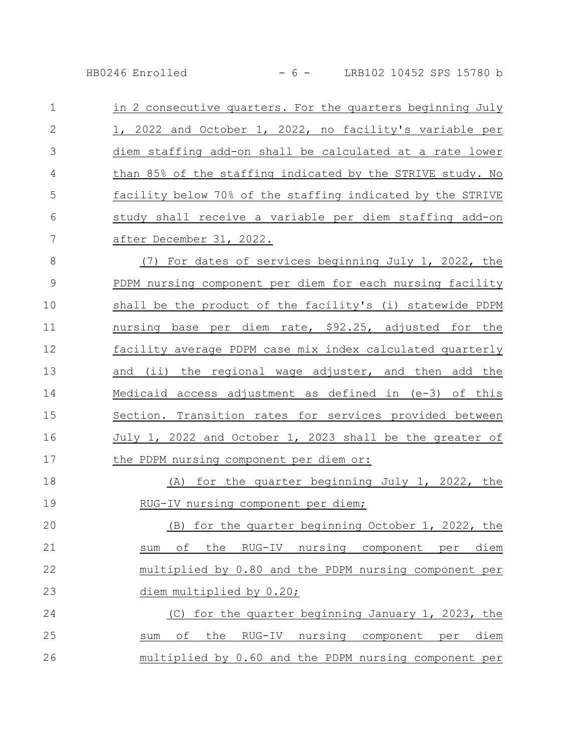HB0246 Enrolled - 6 - LRB102 10452 SPS 15780 b

in 2 consecutive quarters. For the quarters beginning July 1, 2022 and October 1, 2022, no facility's variable per diem staffing add-on shall be calculated at a rate lower than 85% of the staffing indicated by the STRIVE study. No facility below 70% of the staffing indicated by the STRIVE study shall receive a variable per diem staffing add-on after December 31, 2022. 1 2 3 4 5 6 7

(7) For dates of services beginning July 1, 2022, the PDPM nursing component per diem for each nursing facility shall be the product of the facility's (i) statewide PDPM nursing base per diem rate, \$92.25, adjusted for the facility average PDPM case mix index calculated quarterly and (ii) the regional wage adjuster, and then add the Medicaid access adjustment as defined in (e-3) of this Section. Transition rates for services provided between July 1, 2022 and October 1, 2023 shall be the greater of the PDPM nursing component per diem or: 8 9 10 11 12 13 14 15 16 17

(A) for the quarter beginning July 1, 2022, the RUG-IV nursing component per diem; 18 19

(B) for the quarter beginning October 1, 2022, the sum of the RUG-IV nursing component per diem multiplied by 0.80 and the PDPM nursing component per diem multiplied by 0.20; 20 21 22 23

(C) for the quarter beginning January 1, 2023, the sum of the RUG-IV nursing component per diem multiplied by 0.60 and the PDPM nursing component per 24 25 26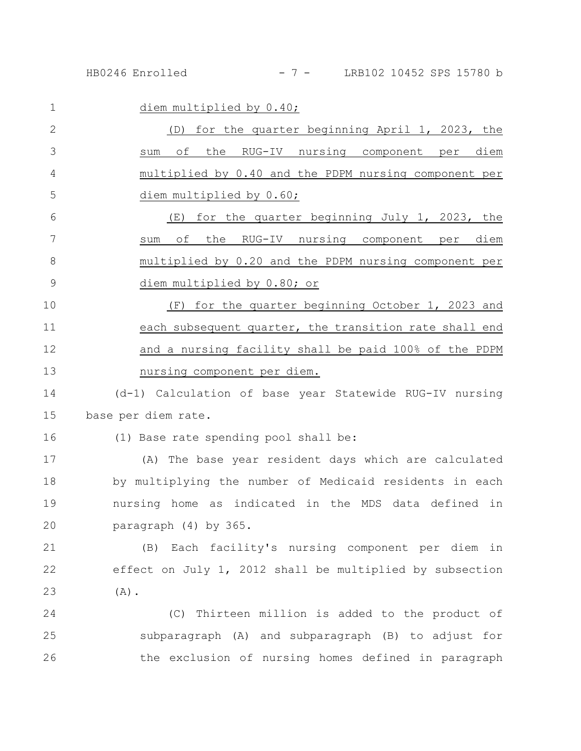| $\mathbf{1}$ | diem multiplied by 0.40;                                 |
|--------------|----------------------------------------------------------|
| 2            | for the quarter beginning April 1, 2023, the<br>(D)      |
| 3            | of the RUG-IV nursing component per diem<br>sum          |
| 4            | multiplied by 0.40 and the PDPM nursing component per    |
| 5            | diem multiplied by 0.60;                                 |
| $6\,$        | (E) for the quarter beginning July 1, 2023, the          |
| 7            | of the RUG-IV nursing component per<br>diem<br>sum       |
| 8            | multiplied by 0.20 and the PDPM nursing component per    |
| 9            | diem multiplied by 0.80; or                              |
| 10           | for the quarter beginning October 1, 2023 and<br>(F)     |
| 11           | each subsequent quarter, the transition rate shall end   |
| 12           | and a nursing facility shall be paid 100% of the PDPM    |
| 13           | nursing component per diem.                              |
| 14           | (d-1) Calculation of base year Statewide RUG-IV nursing  |
| 15           | base per diem rate.                                      |
| 16           | (1) Base rate spending pool shall be:                    |
| 17           | (A) The base year resident days which are calculated     |
| 18           | by multiplying the number of Medicaid residents in each  |
| 19           | nursing home as indicated in the MDS data defined in     |
| 20           | paragraph (4) by 365.                                    |
| 21           | (B) Each facility's nursing component per diem in        |
| 22           | effect on July 1, 2012 shall be multiplied by subsection |
| 23           | $(A)$ .                                                  |
| 24           | (C) Thirteen million is added to the product of          |
| 25           | subparagraph (A) and subparagraph (B) to adjust for      |
| 26           | the exclusion of nursing homes defined in paragraph      |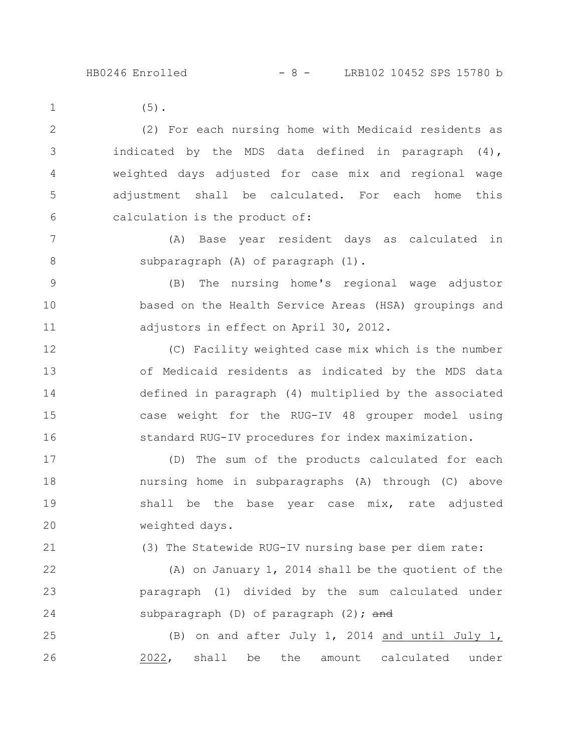21

(5). (2) For each nursing home with Medicaid residents as indicated by the MDS data defined in paragraph (4), weighted days adjusted for case mix and regional wage adjustment shall be calculated. For each home this calculation is the product of: (A) Base year resident days as calculated in subparagraph (A) of paragraph (1). (B) The nursing home's regional wage adjustor based on the Health Service Areas (HSA) groupings and adjustors in effect on April 30, 2012. (C) Facility weighted case mix which is the number of Medicaid residents as indicated by the MDS data 1 2 3 4 5 6 7 8 9 10 11 12 13

defined in paragraph (4) multiplied by the associated case weight for the RUG-IV 48 grouper model using standard RUG-IV procedures for index maximization. 14 15 16

(D) The sum of the products calculated for each nursing home in subparagraphs (A) through (C) above shall be the base year case mix, rate adjusted weighted days. 17 18 19 20

(3) The Statewide RUG-IV nursing base per diem rate:

(A) on January 1, 2014 shall be the quotient of the paragraph (1) divided by the sum calculated under subparagraph  $(D)$  of paragraph  $(2)$ ; and 22 23 24

(B) on and after July 1, 2014 and until July 1, 2022, shall be the amount calculated under 25 26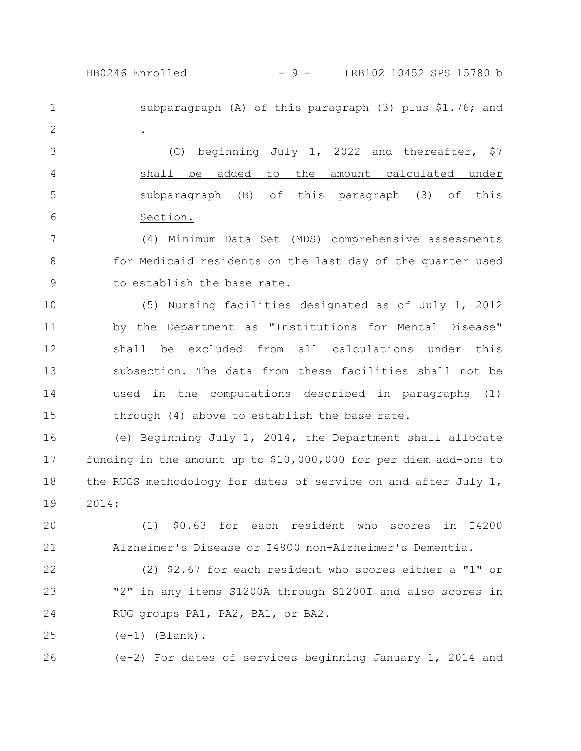subparagraph (A) of this paragraph (3) plus \$1.76; and . (C) beginning July 1, 2022 and thereafter, \$7 shall be added to the amount calculated under subparagraph (B) of this paragraph (3) of this Section. (4) Minimum Data Set (MDS) comprehensive assessments for Medicaid residents on the last day of the quarter used to establish the base rate. (5) Nursing facilities designated as of July 1, 2012 by the Department as "Institutions for Mental Disease" shall be excluded from all calculations under this subsection. The data from these facilities shall not be used in the computations described in paragraphs (1) through (4) above to establish the base rate. (e) Beginning July 1, 2014, the Department shall allocate funding in the amount up to \$10,000,000 for per diem add-ons to 1 2 3 4 5 6 7 8 9 10 11 12 13 14 15 16 17 HB0246 Enrolled - 9 - LRB102 10452 SPS 15780 b

2014: 19

20 21

18

(1) \$0.63 for each resident who scores in I4200 Alzheimer's Disease or I4800 non-Alzheimer's Dementia.

the RUGS methodology for dates of service on and after July 1,

(2) \$2.67 for each resident who scores either a "1" or "2" in any items S1200A through S1200I and also scores in RUG groups PA1, PA2, BA1, or BA2. 22 23 24

 $(e-1)$  (Blank). 25

(e-2) For dates of services beginning January 1, 2014 and 26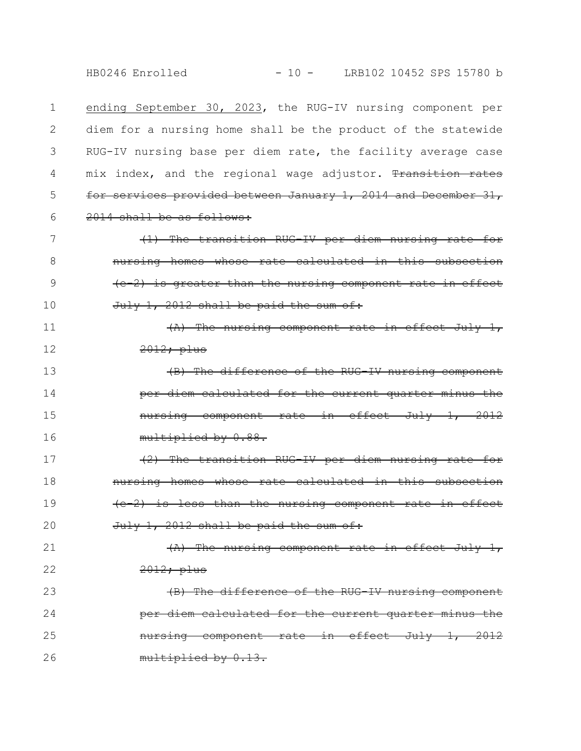HB0246 Enrolled - 10 - LRB102 10452 SPS 15780 b

ending September 30, 2023, the RUG-IV nursing component per diem for a nursing home shall be the product of the statewide RUG-IV nursing base per diem rate, the facility average case mix index, and the regional wage adjustor. Transition for services provided between January 1, 2014 and December 31, 2014 shall be as follows: 1 2 3 4 5 6

(1) The transition RUG-IV per diem nursing rate for nursing homes whose rate calculated in this subsection (e-2) is greater than the nursing component rate in effect July 1, 2012 shall be paid the sum of: 7 8 9 10

(A) The nursing component rate in effect July 1, 2012; plus 11 12

(B) The difference of the RUG-IV nursing component per diem calculated for the current quarter minus the nursing component rate in effect July 1, 2012 multiplied by 0.88. 13 14 15 16

(2) The transition RUG-IV per diem nursing rate for nursing homes whose rate calculated in this subse (e-2) is less than the nursing component rate in effect  $July$  1, 2012 shall be paid the sum of: 17 18 19 20

(A) The nursing component rate in effect July 1, 2012; plus 21 22

(B) The difference of the RUG-IV nursing component per diem calculated for the current quarter minus the nursing component rate in effect July 1, 2012 multiplied by 0.13. 23 24 25 26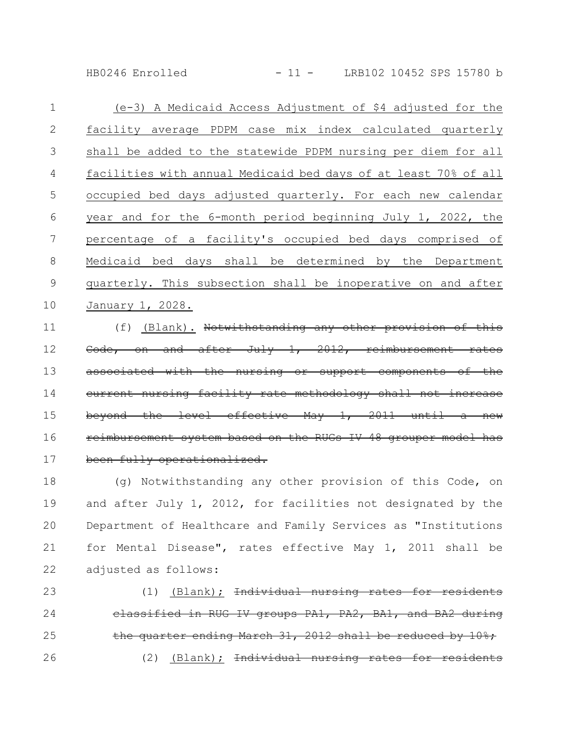HB0246 Enrolled - 11 - LRB102 10452 SPS 15780 b

| $\mathbf 1$ | (e-3) A Medicaid Access Adjustment of \$4 adjusted for the      |
|-------------|-----------------------------------------------------------------|
| 2           | facility average PDPM case mix index calculated quarterly       |
| 3           | shall be added to the statewide PDPM nursing per diem for all   |
| 4           | facilities with annual Medicaid bed days of at least 70% of all |
| 5           | occupied bed days adjusted quarterly. For each new calendar     |
| 6           | year and for the 6-month period beginning July 1, 2022, the     |
| 7           | percentage of a facility's occupied bed days comprised of       |
| 8           | Medicaid bed days shall be determined by the Department         |
| 9           |                                                                 |
|             | quarterly. This subsection shall be inoperative on and after    |
| 10          | January 1, 2028.                                                |

(f) (Blank). Notwithstanding any other provision of this Code, on and after July 1, 2012, reimbursement rates associated with the nursing or support components of the current nursing facility rate methodology shall not increase beyond the level effective May  $1, 2011$ reimbursement system based on the RUGs IV 48 grouper model been fully operationalized. 11 12 13 14 15 16 17

(g) Notwithstanding any other provision of this Code, on and after July 1, 2012, for facilities not designated by the Department of Healthcare and Family Services as "Institutions for Mental Disease", rates effective May 1, 2011 shall be adjusted as follows: 18 19 20 21 22

 $(1)$  (Blank); <del>Individual nursing rates</del> classified in RUG IV groups PA1, PA2, BA1, and BA2 during the quarter ending March 31, 2012 shall be reduced by 10%; (2) (Blank); Individual nursing rates 23 24 25 26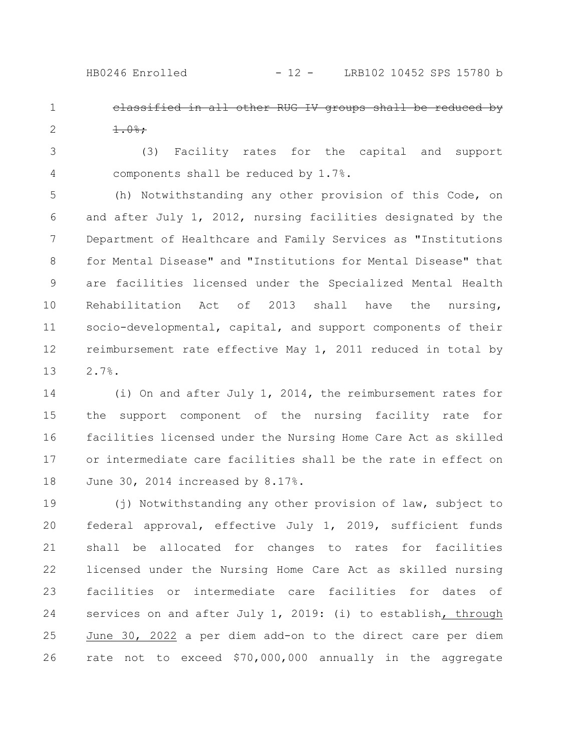- classified in all other RUG IV groups shall be reduced by  $1.0%$ ; 1 2
- (3) Facility rates for the capital and support components shall be reduced by 1.7%. 3 4

(h) Notwithstanding any other provision of this Code, on and after July 1, 2012, nursing facilities designated by the Department of Healthcare and Family Services as "Institutions for Mental Disease" and "Institutions for Mental Disease" that are facilities licensed under the Specialized Mental Health Rehabilitation Act of 2013 shall have the nursing, socio-developmental, capital, and support components of their reimbursement rate effective May 1, 2011 reduced in total by 2.7%. 5 6 7 8 9 10 11 12 13

(i) On and after July 1, 2014, the reimbursement rates for the support component of the nursing facility rate for facilities licensed under the Nursing Home Care Act as skilled or intermediate care facilities shall be the rate in effect on June 30, 2014 increased by 8.17%. 14 15 16 17 18

(j) Notwithstanding any other provision of law, subject to federal approval, effective July 1, 2019, sufficient funds shall be allocated for changes to rates for facilities licensed under the Nursing Home Care Act as skilled nursing facilities or intermediate care facilities for dates of services on and after July 1, 2019: (i) to establish, through June 30, 2022 a per diem add-on to the direct care per diem rate not to exceed \$70,000,000 annually in the aggregate 19 20 21 22 23 24 25 26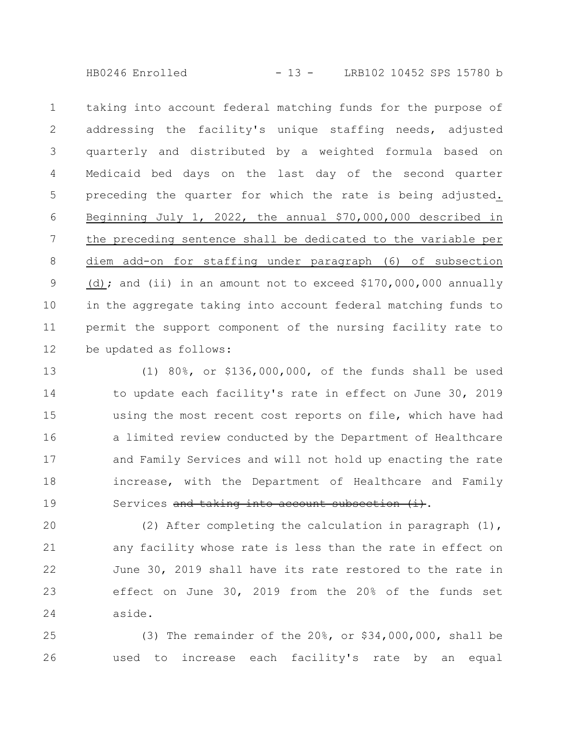HB0246 Enrolled - 13 - LRB102 10452 SPS 15780 b

taking into account federal matching funds for the purpose of addressing the facility's unique staffing needs, adjusted quarterly and distributed by a weighted formula based on Medicaid bed days on the last day of the second quarter preceding the quarter for which the rate is being adjusted. Beginning July 1, 2022, the annual \$70,000,000 described in the preceding sentence shall be dedicated to the variable per diem add-on for staffing under paragraph (6) of subsection (d); and (ii) in an amount not to exceed  $$170,000,000$  annually in the aggregate taking into account federal matching funds to permit the support component of the nursing facility rate to be updated as follows: 1 2 3 4 5 6 7 8 9 10 11 12

(1) 80%, or \$136,000,000, of the funds shall be used to update each facility's rate in effect on June 30, 2019 using the most recent cost reports on file, which have had a limited review conducted by the Department of Healthcare and Family Services and will not hold up enacting the rate increase, with the Department of Healthcare and Family Services and taking into account subsection (i). 13 14 15 16 17 18 19

(2) After completing the calculation in paragraph (1), any facility whose rate is less than the rate in effect on June 30, 2019 shall have its rate restored to the rate in effect on June 30, 2019 from the 20% of the funds set aside. 20 21 22 23 24

(3) The remainder of the 20%, or \$34,000,000, shall be used to increase each facility's rate by an equal 25 26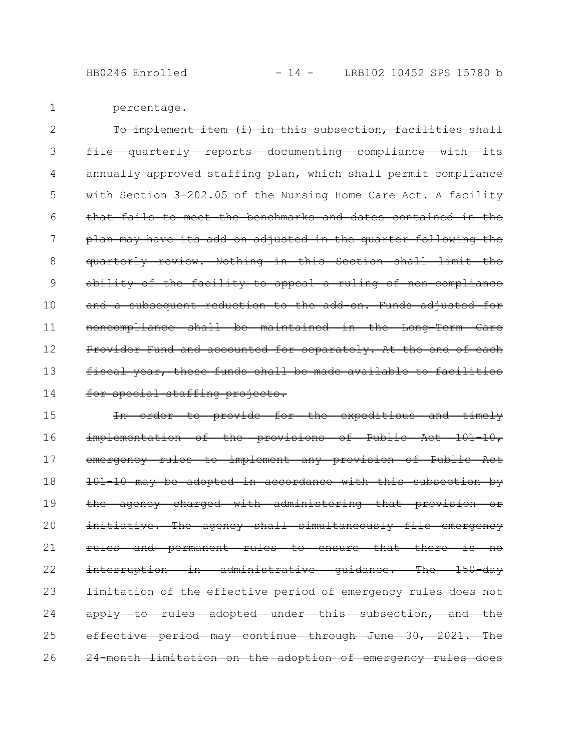HB0246 Enrolled - 14 - LRB102 10452 SPS 15780 b

percentage. 1

To implement item (i) in this subsection, facilities shall file quarterly reports documenting compliance with its annually approved staffing plan, which shall permit compliance with Section 3 202.05 of the Nursing Home Care Act. A facility that fails to meet the benchmarks and dates contained in the plan may have its add-on adjusted in the quarter following the quarterly review. Nothing in this Section shall limit the ability of the facility to appeal a ruling of non compliance and a subsequent reduction to the add on. Funds adjusted for noncompliance shall be maintained in the Long-Term Care Provider Fund and accounted for separately. At the end of each fiscal year, these funds shall be made available to facilities for special staffing projects. 2 3 4 5 6 7 8 9 10 11 12 13 14

In order to provide for the expeditious and timely implementation of the provisions of Public Act 101-10, emergency rules to implement any provision of Public Act 101-10 may be adopted in accordance with this subsection by the agency charged with administering that provision or initiative. The ageney shall simultaneously file emergency rules and permanent rules to ensure that there is no interruption in administrative quidance. The 150-day limitation of the effective period of emergency rules does not apply to rules adopted under this subsection, and the effective period may continue through June 30, 2021. The 24-month limitation on the adoption of emergency rules does 15 16 17 18 19 20 21 22 23 24 25 26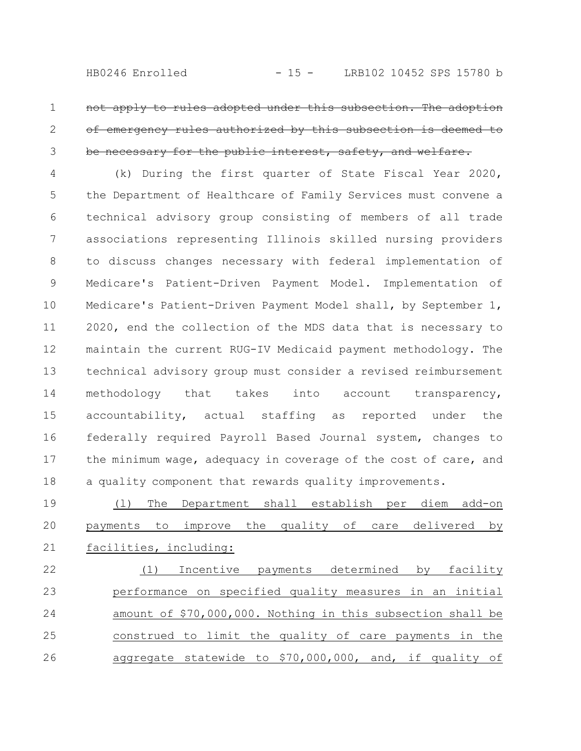apply to rules adopted under this subsection. The adopt emergency rules authorized by this subsection is deemed to be necessary for the public interest, safety, and welfare. 1 2 3

(k) During the first quarter of State Fiscal Year 2020, the Department of Healthcare of Family Services must convene a technical advisory group consisting of members of all trade associations representing Illinois skilled nursing providers to discuss changes necessary with federal implementation of Medicare's Patient-Driven Payment Model. Implementation of Medicare's Patient-Driven Payment Model shall, by September 1, 2020, end the collection of the MDS data that is necessary to maintain the current RUG-IV Medicaid payment methodology. The technical advisory group must consider a revised reimbursement methodology that takes into account transparency, accountability, actual staffing as reported under the federally required Payroll Based Journal system, changes to the minimum wage, adequacy in coverage of the cost of care, and a quality component that rewards quality improvements. 4 5 6 7 8 9 10 11 12 13 14 15 16 17 18

(l) The Department shall establish per diem add-on payments to improve the quality of care delivered by facilities, including: 19 20 21

(1) Incentive payments determined by facility performance on specified quality measures in an initial amount of \$70,000,000. Nothing in this subsection shall be construed to limit the quality of care payments in the aggregate statewide to \$70,000,000, and, if quality of 22 23 24 25 26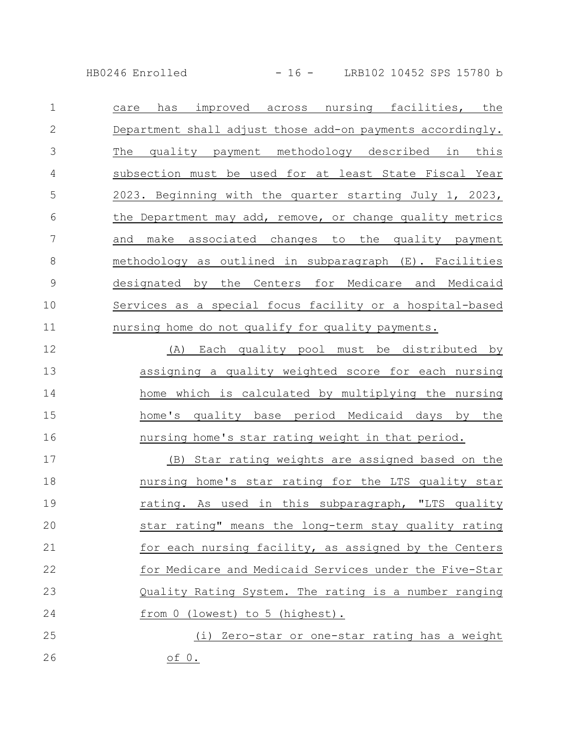HB0246 Enrolled - 16 - LRB102 10452 SPS 15780 b

care has improved across nursing facilities, the Department shall adjust those add-on payments accordingly. The quality payment methodology described in this subsection must be used for at least State Fiscal Year 2023. Beginning with the quarter starting July 1, 2023, the Department may add, remove, or change quality metrics and make associated changes to the quality payment methodology as outlined in subparagraph (E). Facilities designated by the Centers for Medicare and Medicaid Services as a special focus facility or a hospital-based nursing home do not qualify for quality payments. 1 2 3 4 5 6 7 8 9 10 11

(A) Each quality pool must be distributed by assigning a quality weighted score for each nursing home which is calculated by multiplying the nursing home's quality base period Medicaid days by the nursing home's star rating weight in that period. 12 13 14 15 16

(B) Star rating weights are assigned based on the nursing home's star rating for the LTS quality star rating. As used in this subparagraph, "LTS quality star rating" means the long-term stay quality rating for each nursing facility, as assigned by the Centers for Medicare and Medicaid Services under the Five-Star Quality Rating System. The rating is a number ranging from 0 (lowest) to 5 (highest). 17 18 19 20 21 22 23 24

(i) Zero-star or one-star rating has a weight of 0. 25 26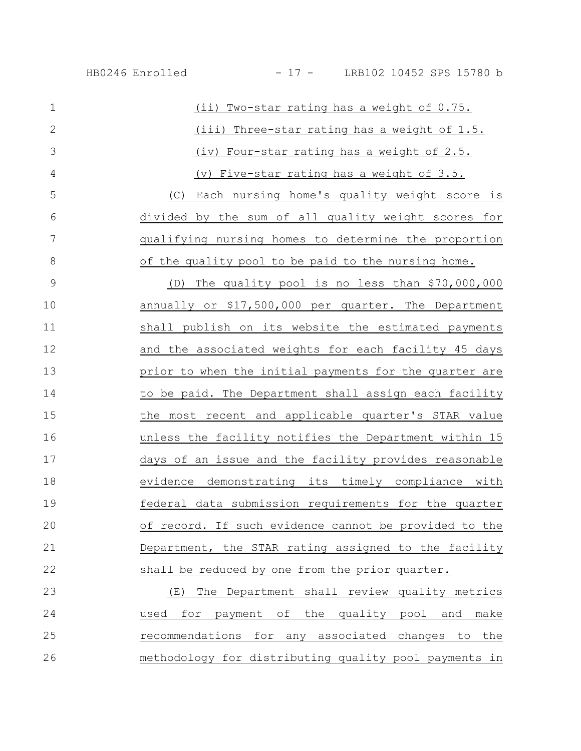| $\mathbf 1$    | (ii) Two-star rating has a weight of 0.75.             |
|----------------|--------------------------------------------------------|
| $\overline{2}$ | (iii) Three-star rating has a weight of 1.5.           |
| 3              | (iv) Four-star rating has a weight of 2.5.             |
| 4              | (v) Five-star rating has a weight of 3.5.              |
| 5              | Each nursing home's quality weight score is<br>(C)     |
| 6              | divided by the sum of all quality weight scores for    |
| 7              | qualifying nursing homes to determine the proportion   |
| 8              | of the quality pool to be paid to the nursing home.    |
| 9              | The quality pool is no less than \$70,000,000<br>(D)   |
| 10             | annually or \$17,500,000 per quarter. The Department   |
| 11             | shall publish on its website the estimated payments    |
| 12             | and the associated weights for each facility 45 days   |
| 13             | prior to when the initial payments for the quarter are |
| 14             | to be paid. The Department shall assign each facility  |
| 15             | the most recent and applicable quarter's STAR value    |
| 16             | unless the facility notifies the Department within 15  |
| 17             | days of an issue and the facility provides reasonable  |
| 18             | evidence demonstrating its timely compliance with      |
| 19             | federal data submission requirements for the quarter   |
| 20             | of record. If such evidence cannot be provided to the  |
| 21             | Department, the STAR rating assigned to the facility   |
| 22             | shall be reduced by one from the prior quarter.        |
| 23             | (E) The Department shall review quality metrics        |
| 24             | used for payment of the quality pool and make          |
|                |                                                        |

25 Tecommendations for any associated changes to the methodology for distributing quality pool payments in 26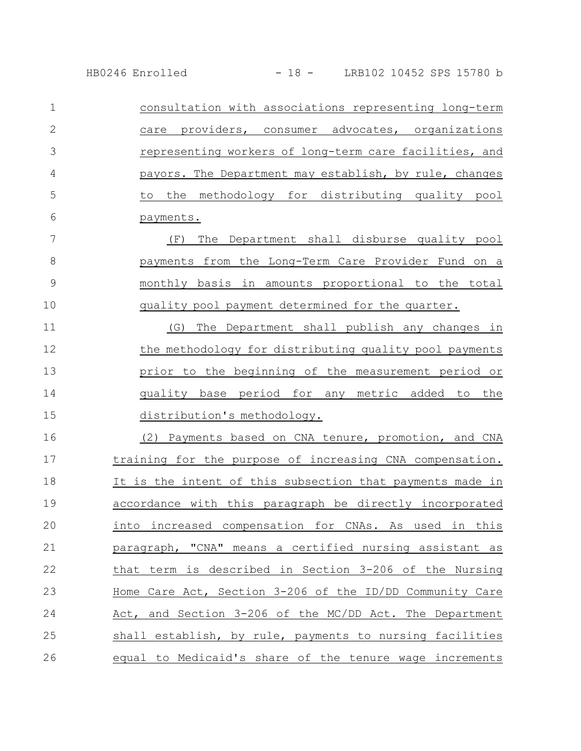| 1             | consultation with associations representing long-term     |
|---------------|-----------------------------------------------------------|
| $\mathbf{2}$  | care providers, consumer advocates, organizations         |
| 3             | representing workers of long-term care facilities, and    |
| 4             | payors. The Department may establish, by rule, changes    |
| 5             | the methodology for distributing quality pool<br>to       |
| 6             | payments.                                                 |
| 7             | The Department shall disburse quality pool<br>(F)         |
| 8             | payments from the Long-Term Care Provider Fund on a       |
| $\mathcal{G}$ | monthly basis in amounts proportional to the total        |
| 10            | quality pool payment determined for the quarter.          |
| 11            | The Department shall publish any changes in<br>(G)        |
| 12            | the methodology for distributing quality pool payments    |
| 13            | prior to the beginning of the measurement period or       |
| 14            | quality base period for any metric added to the           |
| 15            | distribution's methodology.                               |
| 16            | (2) Payments based on CNA tenure, promotion, and CNA      |
| 17            | training for the purpose of increasing CNA compensation.  |
| 18            | It is the intent of this subsection that payments made in |
| 19            | accordance with this paragraph be directly incorporated   |
| 20            | into increased compensation for CNAs. As used in this     |
| 21            | paragraph, "CNA" means a certified nursing assistant as   |
| 22            | that term is described in Section 3-206 of the Nursing    |
| 23            | Home Care Act, Section 3-206 of the ID/DD Community Care  |
| 24            | Act, and Section 3-206 of the MC/DD Act. The Department   |
| 25            | shall establish, by rule, payments to nursing facilities  |
| 26            | equal to Medicaid's share of the tenure wage increments   |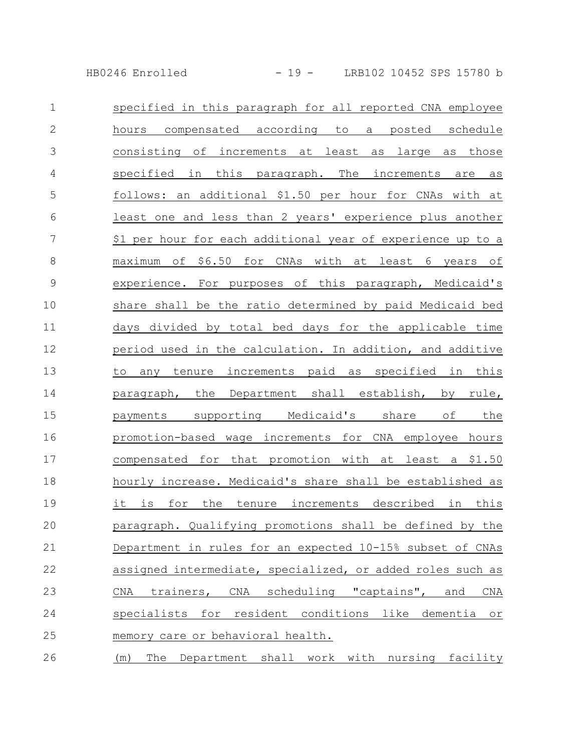HB0246 Enrolled - 19 - LRB102 10452 SPS 15780 b

| $\mathbf{1}$   | specified in this paragraph for all reported CNA employee   |
|----------------|-------------------------------------------------------------|
| $\mathbf{2}$   | hours compensated according to a posted schedule            |
| $\mathfrak{Z}$ | consisting of increments at least as large as those         |
| 4              | specified in this paragraph. The increments<br>are as       |
| 5              | follows: an additional \$1.50 per hour for CNAs with at     |
| 6              | least one and less than 2 years' experience plus another    |
| 7              | \$1 per hour for each additional year of experience up to a |
| $\,8\,$        | maximum of \$6.50 for CNAs with at least 6 years of         |
| $\mathsf 9$    | experience. For purposes of this paragraph, Medicaid's      |
| 10             | share shall be the ratio determined by paid Medicaid bed    |
| 11             | days divided by total bed days for the applicable time      |
| 12             | period used in the calculation. In addition, and additive   |
| 13             | any tenure increments paid as specified in this<br>to       |
| 14             | paragraph, the Department shall establish, by rule,         |
| 15             | payments supporting Medicaid's share of the                 |
| 16             | promotion-based wage increments for CNA employee hours      |
| 17             | compensated for that promotion with at least a \$1.50       |
| 18             | hourly increase. Medicaid's share shall be established as   |
| 19             | it is for the tenure increments described in this           |
| 20             | paragraph. Qualifying promotions shall be defined by the    |
| 21             | Department in rules for an expected 10-15% subset of CNAs   |
| 22             | assigned intermediate, specialized, or added roles such as  |
| 23             | CNA trainers, CNA scheduling "captains", and CNA            |
| 24             | specialists for resident conditions like dementia or        |
| 25             | memory care or behavioral health.                           |
| 26             | (m) The Department shall work with nursing facility         |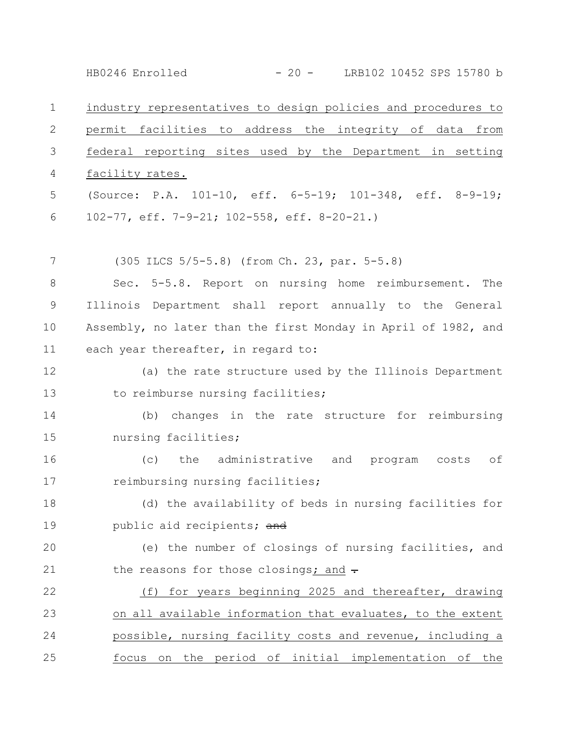industry representatives to design policies and procedures to permit facilities to address the integrity of data from federal reporting sites used by the Department in setting facility rates. (Source: P.A. 101-10, eff. 6-5-19; 101-348, eff. 8-9-19; 102-77, eff. 7-9-21; 102-558, eff. 8-20-21.) (305 ILCS 5/5-5.8) (from Ch. 23, par. 5-5.8) Sec. 5-5.8. Report on nursing home reimbursement. The Illinois Department shall report annually to the General Assembly, no later than the first Monday in April of 1982, and each year thereafter, in regard to: (a) the rate structure used by the Illinois Department to reimburse nursing facilities; (b) changes in the rate structure for reimbursing nursing facilities; (c) the administrative and program costs of reimbursing nursing facilities; (d) the availability of beds in nursing facilities for public aid recipients; and (e) the number of closings of nursing facilities, and the reasons for those closings; and  $\div$ (f) for years beginning 2025 and thereafter, drawing on all available information that evaluates, to the extent possible, nursing facility costs and revenue, including a focus on the period of initial implementation of the 1 2 3 4 5 6 7 8 9 10 11 12 13 14 15 16 17 18 19 20 21 22 23 24 25 HB0246 Enrolled - 20 - LRB102 10452 SPS 15780 b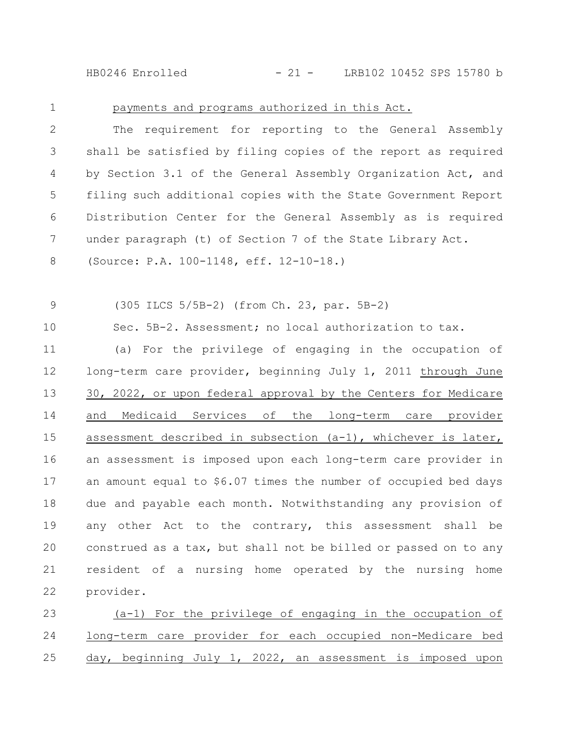HB0246 Enrolled - 21 - LRB102 10452 SPS 15780 b

1

## payments and programs authorized in this Act.

The requirement for reporting to the General Assembly shall be satisfied by filing copies of the report as required by Section 3.1 of the General Assembly Organization Act, and filing such additional copies with the State Government Report Distribution Center for the General Assembly as is required under paragraph (t) of Section 7 of the State Library Act. (Source: P.A. 100-1148, eff. 12-10-18.) 2 3 4 5 6 7 8

(305 ILCS 5/5B-2) (from Ch. 23, par. 5B-2) 9

Sec. 5B-2. Assessment; no local authorization to tax. 10

(a) For the privilege of engaging in the occupation of long-term care provider, beginning July 1, 2011 through June 30, 2022, or upon federal approval by the Centers for Medicare and Medicaid Services of the long-term care provider assessment described in subsection (a-1), whichever is later, an assessment is imposed upon each long-term care provider in an amount equal to \$6.07 times the number of occupied bed days due and payable each month. Notwithstanding any provision of any other Act to the contrary, this assessment shall be construed as a tax, but shall not be billed or passed on to any resident of a nursing home operated by the nursing home provider. 11 12 13 14 15 16 17 18 19 20 21 22

(a-1) For the privilege of engaging in the occupation of long-term care provider for each occupied non-Medicare bed day, beginning July 1, 2022, an assessment is imposed upon 23 24 25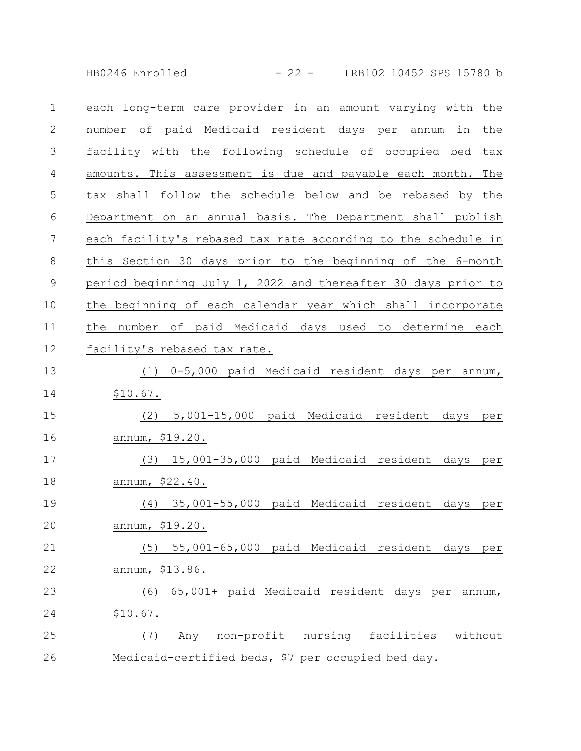HB0246 Enrolled - 22 - LRB102 10452 SPS 15780 b

| $\mathbf 1$ | each long-term care provider in an amount varying with the     |
|-------------|----------------------------------------------------------------|
| 2           | number of paid Medicaid resident days per annum<br>in<br>the   |
| 3           | facility with the following schedule of occupied bed<br>tax    |
| 4           | amounts. This assessment is due and payable each month.<br>The |
| 5           | tax shall follow the schedule below and be rebased by the      |
| 6           | Department on an annual basis. The Department shall publish    |
| 7           | each facility's rebased tax rate according to the schedule in  |
| $8\,$       | this Section 30 days prior to the beginning of the 6-month     |
| $\mathsf 9$ | period beginning July 1, 2022 and thereafter 30 days prior to  |
| 10          | the beginning of each calendar year which shall incorporate    |
| 11          | number of paid Medicaid days used to determine each<br>the     |
| 12          | facility's rebased tax rate.                                   |
| 13          | 0-5,000 paid Medicaid resident days per<br>(1)<br>annum,       |
| 14          | \$10.67.                                                       |
| 15          | 5,001-15,000 paid Medicaid resident days<br>(2)<br>per         |
| 16          | <u>annum, \$19.20.</u>                                         |
| 17          | (3) 15,001-35,000 paid Medicaid resident days per              |
| 18          | annum, \$22.40.                                                |
| 19          | (4) 35,001-55,000 paid Medicaid resident days<br>per           |
| 20          | annum, \$19.20.                                                |
| 21          | (5) 55,001-65,000 paid Medicaid resident days per              |
| 22          | annum, \$13.86.                                                |
| 23          | 65,001+ paid Medicaid resident days per annum,<br>(6)          |
| 24          | \$10.67.                                                       |
| 25          | Any non-profit nursing facilities without<br>(7)               |
| 26          | Medicaid-certified beds, \$7 per occupied bed day.             |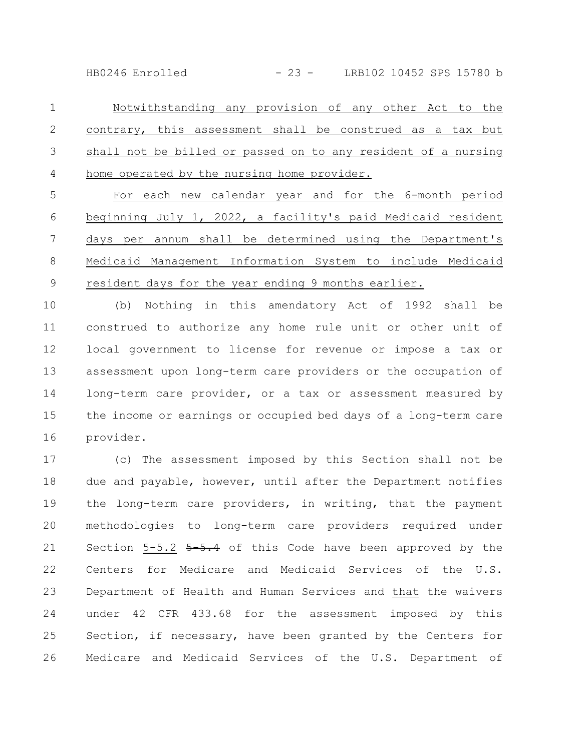HB0246 Enrolled - 23 - LRB102 10452 SPS 15780 b

Notwithstanding any provision of any other Act to the contrary, this assessment shall be construed as a tax but shall not be billed or passed on to any resident of a nursing home operated by the nursing home provider. 1 2 3 4

For each new calendar year and for the 6-month period beginning July 1, 2022, a facility's paid Medicaid resident days per annum shall be determined using the Department's Medicaid Management Information System to include Medicaid resident days for the year ending 9 months earlier. 5 6 7 8 9

(b) Nothing in this amendatory Act of 1992 shall be construed to authorize any home rule unit or other unit of local government to license for revenue or impose a tax or assessment upon long-term care providers or the occupation of long-term care provider, or a tax or assessment measured by the income or earnings or occupied bed days of a long-term care provider. 10 11 12 13 14 15 16

(c) The assessment imposed by this Section shall not be due and payable, however, until after the Department notifies the long-term care providers, in writing, that the payment methodologies to long-term care providers required under Section  $5-5.2$   $5-5.4$  of this Code have been approved by the Centers for Medicare and Medicaid Services of the U.S. Department of Health and Human Services and that the waivers under 42 CFR 433.68 for the assessment imposed by this Section, if necessary, have been granted by the Centers for Medicare and Medicaid Services of the U.S. Department of 17 18 19 20 21 22 23 24 25 26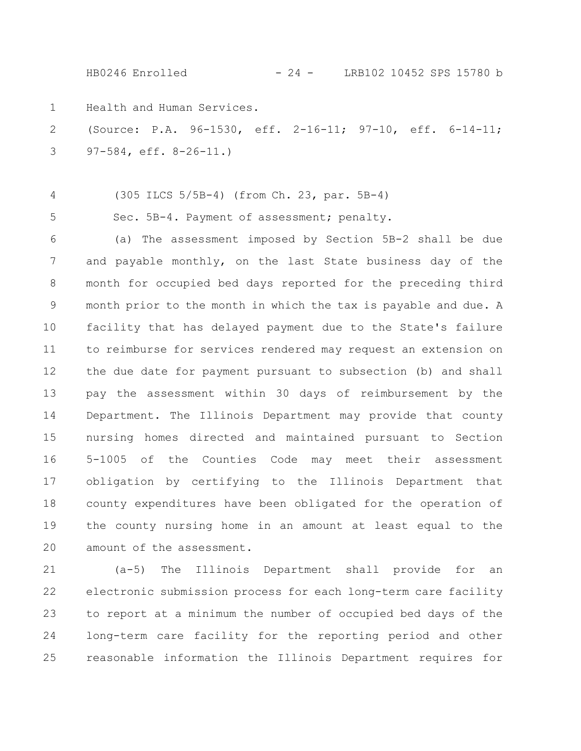HB0246 Enrolled - 24 - LRB102 10452 SPS 15780 b

Health and Human Services. 1

(Source: P.A. 96-1530, eff. 2-16-11; 97-10, eff. 6-14-11; 97-584, eff. 8-26-11.) 2 3

4

5

(305 ILCS 5/5B-4) (from Ch. 23, par. 5B-4)

Sec. 5B-4. Payment of assessment; penalty.

(a) The assessment imposed by Section 5B-2 shall be due and payable monthly, on the last State business day of the month for occupied bed days reported for the preceding third month prior to the month in which the tax is payable and due. A facility that has delayed payment due to the State's failure to reimburse for services rendered may request an extension on the due date for payment pursuant to subsection (b) and shall pay the assessment within 30 days of reimbursement by the Department. The Illinois Department may provide that county nursing homes directed and maintained pursuant to Section 5-1005 of the Counties Code may meet their assessment obligation by certifying to the Illinois Department that county expenditures have been obligated for the operation of the county nursing home in an amount at least equal to the amount of the assessment. 6 7 8 9 10 11 12 13 14 15 16 17 18 19 20

(a-5) The Illinois Department shall provide for an electronic submission process for each long-term care facility to report at a minimum the number of occupied bed days of the long-term care facility for the reporting period and other reasonable information the Illinois Department requires for 21 22 23 24 25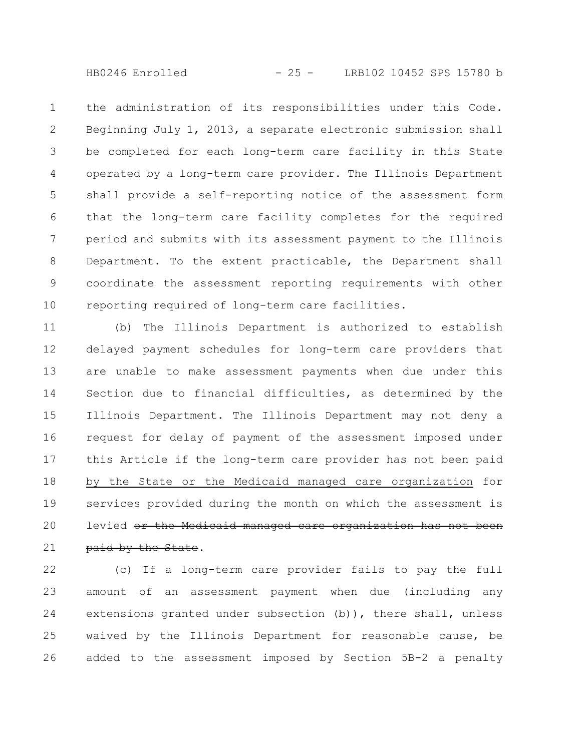HB0246 Enrolled - 25 - LRB102 10452 SPS 15780 b

the administration of its responsibilities under this Code. Beginning July 1, 2013, a separate electronic submission shall be completed for each long-term care facility in this State operated by a long-term care provider. The Illinois Department shall provide a self-reporting notice of the assessment form that the long-term care facility completes for the required period and submits with its assessment payment to the Illinois Department. To the extent practicable, the Department shall coordinate the assessment reporting requirements with other reporting required of long-term care facilities. 1 2 3 4 5 6 7 8 9 10

(b) The Illinois Department is authorized to establish delayed payment schedules for long-term care providers that are unable to make assessment payments when due under this Section due to financial difficulties, as determined by the Illinois Department. The Illinois Department may not deny a request for delay of payment of the assessment imposed under this Article if the long-term care provider has not been paid by the State or the Medicaid managed care organization for services provided during the month on which the assessment is levied or the Medicaid managed care organization has not been paid by the State. 11 12 13 14 15 16 17 18 19 20 21

(c) If a long-term care provider fails to pay the full amount of an assessment payment when due (including any extensions granted under subsection (b)), there shall, unless waived by the Illinois Department for reasonable cause, be added to the assessment imposed by Section 5B-2 a penalty 22 23 24 25 26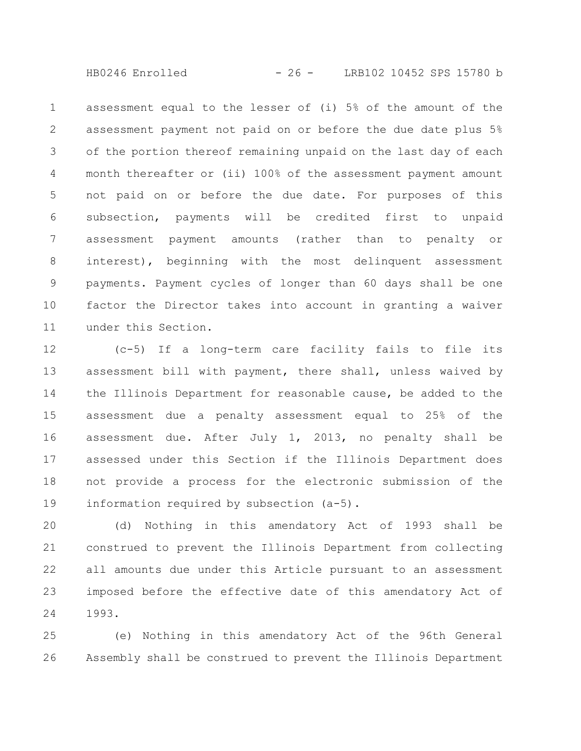HB0246 Enrolled - 26 - LRB102 10452 SPS 15780 b

assessment equal to the lesser of (i) 5% of the amount of the assessment payment not paid on or before the due date plus 5% of the portion thereof remaining unpaid on the last day of each month thereafter or (ii) 100% of the assessment payment amount not paid on or before the due date. For purposes of this subsection, payments will be credited first to unpaid assessment payment amounts (rather than to penalty or interest), beginning with the most delinquent assessment payments. Payment cycles of longer than 60 days shall be one factor the Director takes into account in granting a waiver under this Section. 1 2 3 4 5 6 7 8 9 10 11

(c-5) If a long-term care facility fails to file its assessment bill with payment, there shall, unless waived by the Illinois Department for reasonable cause, be added to the assessment due a penalty assessment equal to 25% of the assessment due. After July 1, 2013, no penalty shall be assessed under this Section if the Illinois Department does not provide a process for the electronic submission of the information required by subsection (a-5). 12 13 14 15 16 17 18 19

(d) Nothing in this amendatory Act of 1993 shall be construed to prevent the Illinois Department from collecting all amounts due under this Article pursuant to an assessment imposed before the effective date of this amendatory Act of 1993. 20 21 22 23 24

(e) Nothing in this amendatory Act of the 96th General Assembly shall be construed to prevent the Illinois Department 25 26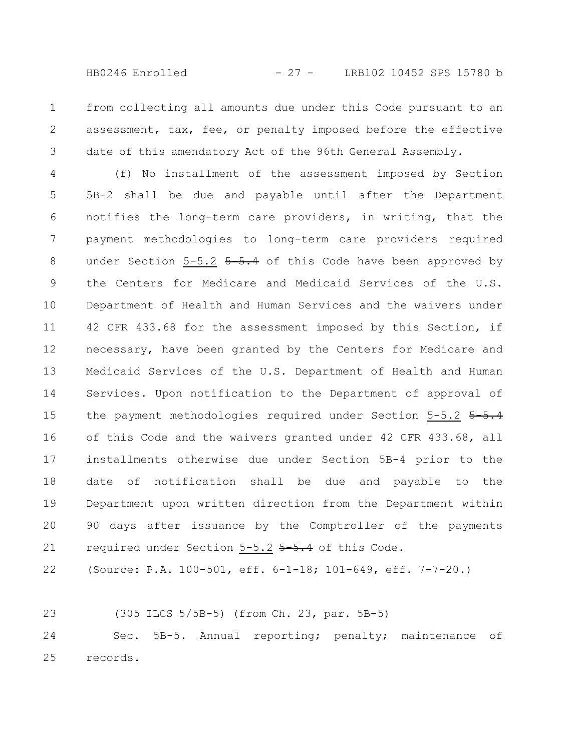from collecting all amounts due under this Code pursuant to an assessment, tax, fee, or penalty imposed before the effective date of this amendatory Act of the 96th General Assembly. 1 2 3

(f) No installment of the assessment imposed by Section 5B-2 shall be due and payable until after the Department notifies the long-term care providers, in writing, that the payment methodologies to long-term care providers required under Section  $5-5.2$   $5-5.4$  of this Code have been approved by the Centers for Medicare and Medicaid Services of the U.S. Department of Health and Human Services and the waivers under 42 CFR 433.68 for the assessment imposed by this Section, if necessary, have been granted by the Centers for Medicare and Medicaid Services of the U.S. Department of Health and Human Services. Upon notification to the Department of approval of the payment methodologies required under Section 5-5.2 5-5.4 of this Code and the waivers granted under 42 CFR 433.68, all installments otherwise due under Section 5B-4 prior to the date of notification shall be due and payable to the Department upon written direction from the Department within 90 days after issuance by the Comptroller of the payments required under Section 5-5.2 5-5.4 of this Code. 4 5 6 7 8 9 10 11 12 13 14 15 16 17 18 19 20 21

(Source: P.A. 100-501, eff. 6-1-18; 101-649, eff. 7-7-20.) 22

(305 ILCS 5/5B-5) (from Ch. 23, par. 5B-5) 23

Sec. 5B-5. Annual reporting; penalty; maintenance of records. 24 25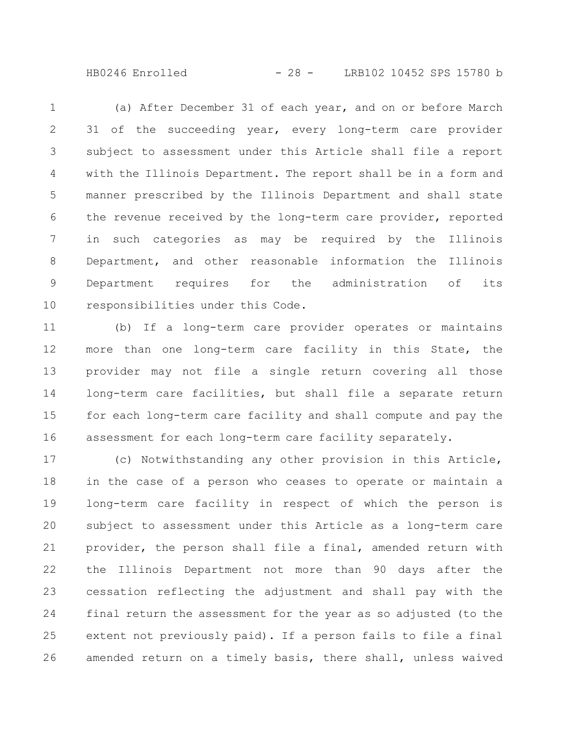HB0246 Enrolled - 28 - LRB102 10452 SPS 15780 b

(a) After December 31 of each year, and on or before March 31 of the succeeding year, every long-term care provider subject to assessment under this Article shall file a report with the Illinois Department. The report shall be in a form and manner prescribed by the Illinois Department and shall state the revenue received by the long-term care provider, reported in such categories as may be required by the Illinois Department, and other reasonable information the Illinois Department requires for the administration of its responsibilities under this Code. 1 2 3 4 5 6 7 8 9 10

(b) If a long-term care provider operates or maintains more than one long-term care facility in this State, the provider may not file a single return covering all those long-term care facilities, but shall file a separate return for each long-term care facility and shall compute and pay the assessment for each long-term care facility separately. 11 12 13 14 15 16

(c) Notwithstanding any other provision in this Article, in the case of a person who ceases to operate or maintain a long-term care facility in respect of which the person is subject to assessment under this Article as a long-term care provider, the person shall file a final, amended return with the Illinois Department not more than 90 days after the cessation reflecting the adjustment and shall pay with the final return the assessment for the year as so adjusted (to the extent not previously paid). If a person fails to file a final amended return on a timely basis, there shall, unless waived 17 18 19 20 21 22 23 24 25 26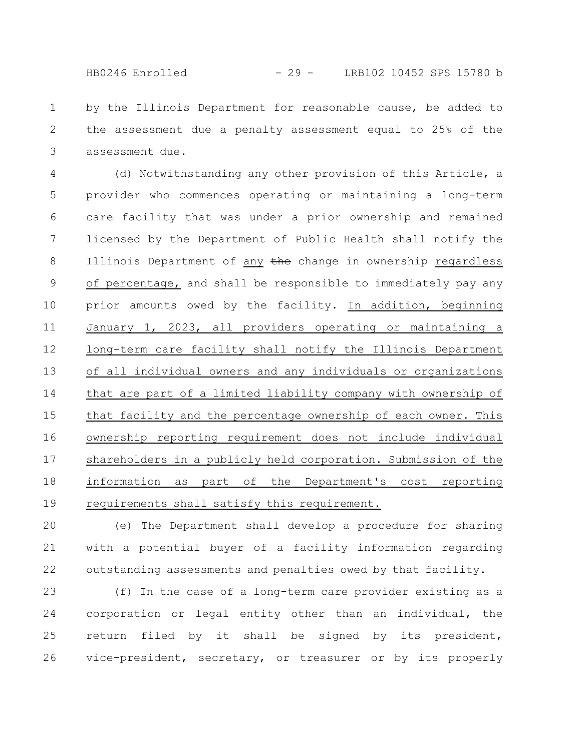by the Illinois Department for reasonable cause, be added to the assessment due a penalty assessment equal to 25% of the assessment due. 1 2 3

(d) Notwithstanding any other provision of this Article, a provider who commences operating or maintaining a long-term care facility that was under a prior ownership and remained licensed by the Department of Public Health shall notify the Illinois Department of any the change in ownership regardless of percentage, and shall be responsible to immediately pay any prior amounts owed by the facility. In addition, beginning January 1, 2023, all providers operating or maintaining a long-term care facility shall notify the Illinois Department of all individual owners and any individuals or organizations that are part of a limited liability company with ownership of that facility and the percentage ownership of each owner. This ownership reporting requirement does not include individual shareholders in a publicly held corporation. Submission of the information as part of the Department's cost reporting requirements shall satisfy this requirement. 4 5 6 7 8 9 10 11 12 13 14 15 16 17 18 19

(e) The Department shall develop a procedure for sharing with a potential buyer of a facility information regarding outstanding assessments and penalties owed by that facility. 20 21 22

(f) In the case of a long-term care provider existing as a corporation or legal entity other than an individual, the return filed by it shall be signed by its president, vice-president, secretary, or treasurer or by its properly 23 24 25 26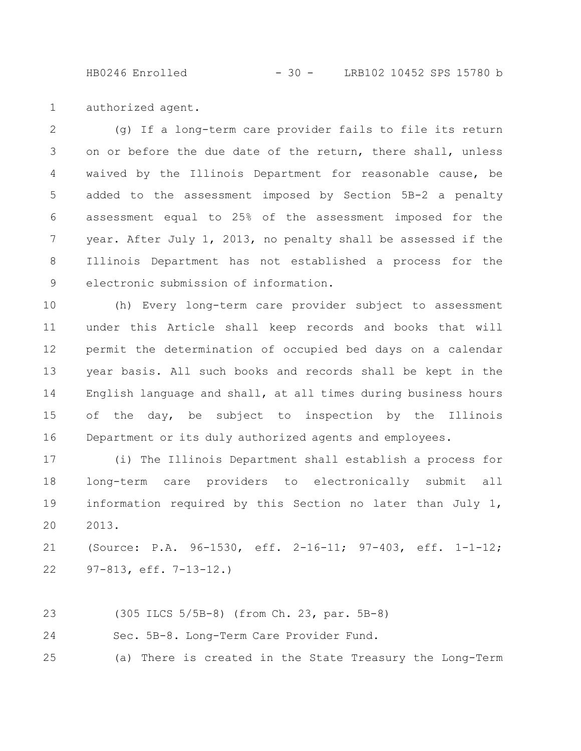HB0246 Enrolled - 30 - LRB102 10452 SPS 15780 b

authorized agent. 1

(g) If a long-term care provider fails to file its return on or before the due date of the return, there shall, unless waived by the Illinois Department for reasonable cause, be added to the assessment imposed by Section 5B-2 a penalty assessment equal to 25% of the assessment imposed for the year. After July 1, 2013, no penalty shall be assessed if the Illinois Department has not established a process for the electronic submission of information. 2 3 4 5 6 7 8 9

(h) Every long-term care provider subject to assessment under this Article shall keep records and books that will permit the determination of occupied bed days on a calendar year basis. All such books and records shall be kept in the English language and shall, at all times during business hours of the day, be subject to inspection by the Illinois Department or its duly authorized agents and employees. 10 11 12 13 14 15 16

(i) The Illinois Department shall establish a process for long-term care providers to electronically submit all information required by this Section no later than July 1, 2013. 17 18 19 20

(Source: P.A. 96-1530, eff. 2-16-11; 97-403, eff. 1-1-12; 97-813, eff. 7-13-12.) 21 22

(305 ILCS 5/5B-8) (from Ch. 23, par. 5B-8) 23

Sec. 5B-8. Long-Term Care Provider Fund. 24

(a) There is created in the State Treasury the Long-Term 25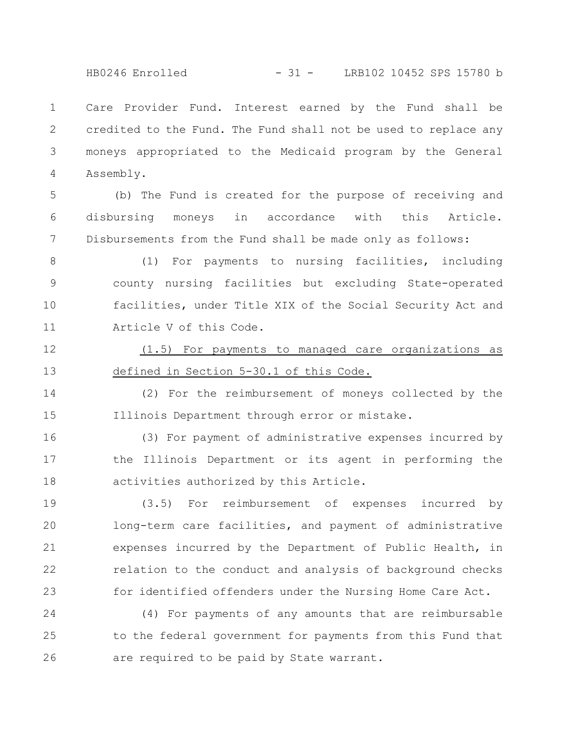Care Provider Fund. Interest earned by the Fund shall be credited to the Fund. The Fund shall not be used to replace any moneys appropriated to the Medicaid program by the General Assembly. 1 2 3 4

(b) The Fund is created for the purpose of receiving and disbursing moneys in accordance with this Article. Disbursements from the Fund shall be made only as follows: 5 6 7

- (1) For payments to nursing facilities, including county nursing facilities but excluding State-operated facilities, under Title XIX of the Social Security Act and Article V of this Code. 8 9 10 11
- (1.5) For payments to managed care organizations as defined in Section 5-30.1 of this Code. 12 13

(2) For the reimbursement of moneys collected by the Illinois Department through error or mistake. 14 15

(3) For payment of administrative expenses incurred by the Illinois Department or its agent in performing the activities authorized by this Article. 16 17 18

(3.5) For reimbursement of expenses incurred by long-term care facilities, and payment of administrative expenses incurred by the Department of Public Health, in relation to the conduct and analysis of background checks for identified offenders under the Nursing Home Care Act. 19 20 21 22 23

(4) For payments of any amounts that are reimbursable to the federal government for payments from this Fund that are required to be paid by State warrant. 24 25 26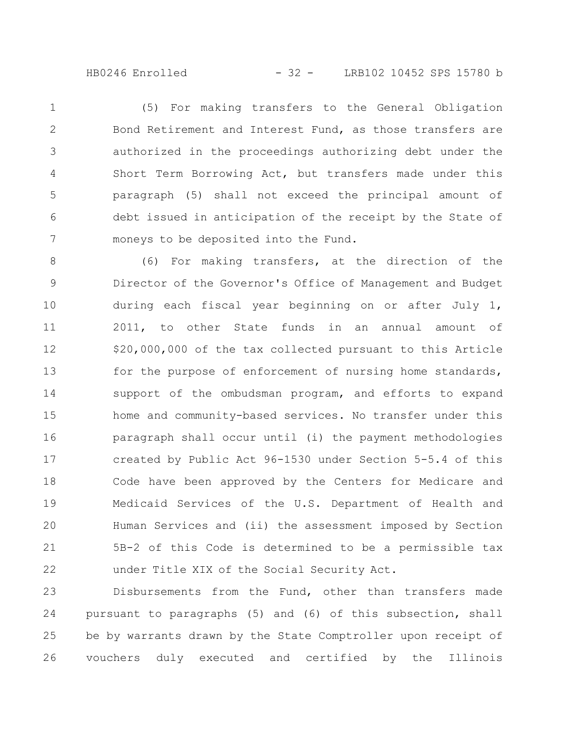(5) For making transfers to the General Obligation Bond Retirement and Interest Fund, as those transfers are authorized in the proceedings authorizing debt under the Short Term Borrowing Act, but transfers made under this paragraph (5) shall not exceed the principal amount of debt issued in anticipation of the receipt by the State of moneys to be deposited into the Fund. 1 2 3 4 5 6 7

(6) For making transfers, at the direction of the Director of the Governor's Office of Management and Budget during each fiscal year beginning on or after July 1, 2011, to other State funds in an annual amount of \$20,000,000 of the tax collected pursuant to this Article for the purpose of enforcement of nursing home standards, support of the ombudsman program, and efforts to expand home and community-based services. No transfer under this paragraph shall occur until (i) the payment methodologies created by Public Act 96-1530 under Section 5-5.4 of this Code have been approved by the Centers for Medicare and Medicaid Services of the U.S. Department of Health and Human Services and (ii) the assessment imposed by Section 5B-2 of this Code is determined to be a permissible tax under Title XIX of the Social Security Act. 8 9 10 11 12 13 14 15 16 17 18 19 20 21 22

Disbursements from the Fund, other than transfers made pursuant to paragraphs (5) and (6) of this subsection, shall be by warrants drawn by the State Comptroller upon receipt of vouchers duly executed and certified by the Illinois 23 24 25 26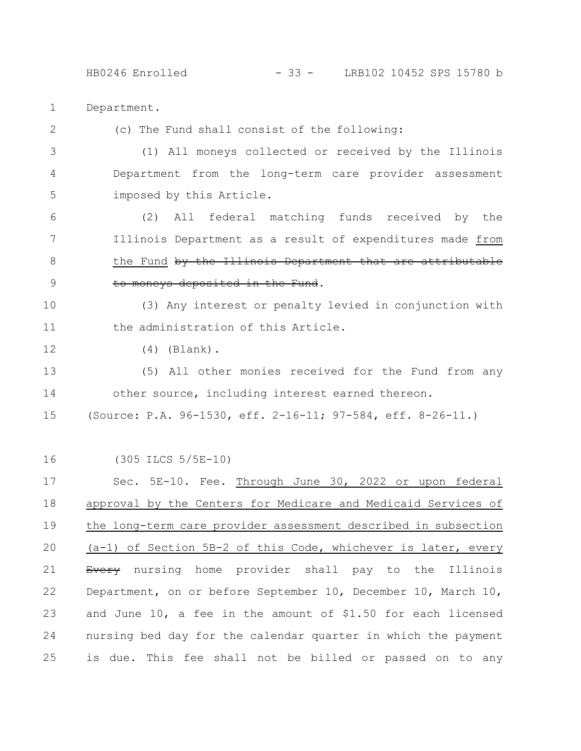HB0246 Enrolled - 33 - LRB102 10452 SPS 15780 b

Department. 1

2

12

(c) The Fund shall consist of the following:

(1) All moneys collected or received by the Illinois Department from the long-term care provider assessment imposed by this Article. 3 4 5

(2) All federal matching funds received by the Illinois Department as a result of expenditures made from the Fund by the Illinois Department that are attributable to moneys deposited in the Fund. 6 7 8 9

(3) Any interest or penalty levied in conjunction with the administration of this Article. 10 11

(4) (Blank).

(5) All other monies received for the Fund from any other source, including interest earned thereon. (Source: P.A. 96-1530, eff. 2-16-11; 97-584, eff. 8-26-11.) 13 14 15

(305 ILCS 5/5E-10) 16

Sec. 5E-10. Fee. Through June 30, 2022 or upon federal approval by the Centers for Medicare and Medicaid Services of the long-term care provider assessment described in subsection (a-1) of Section 5B-2 of this Code, whichever is later, every Every nursing home provider shall pay to the Illinois Department, on or before September 10, December 10, March 10, and June 10, a fee in the amount of \$1.50 for each licensed nursing bed day for the calendar quarter in which the payment is due. This fee shall not be billed or passed on to any 17 18 19 20 21 22 23 24 25